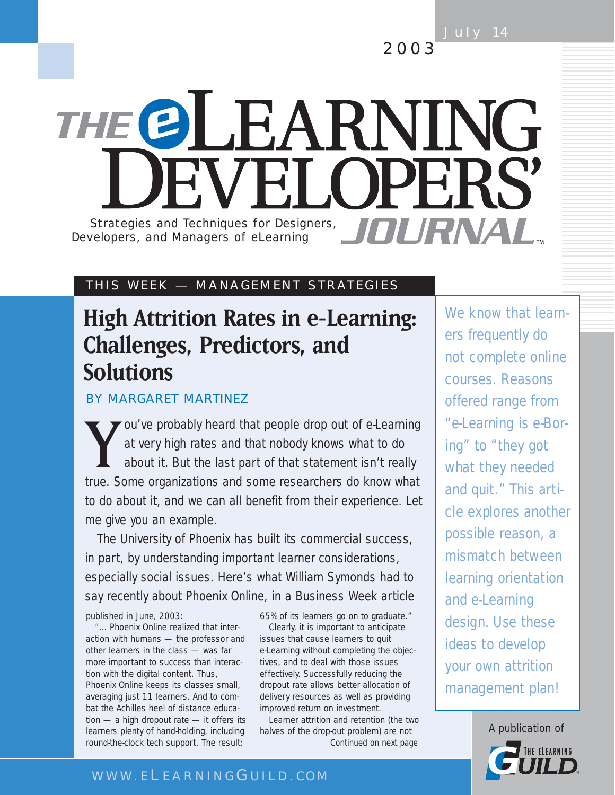July 14 2003

THE OLEARNING WEI OPERS *Strategies and Techniques for Designers,* **ANGAL MANGAL MANGE CONSIDER A LANGAL MANGE CONSIDER A LANGAL MANGE CONSIDER A LANGAL MANGE CONSIDER A LANGAL MANGE CONSIDER A LANGAL MANGE CONSIDER A LANGAL MANGE CONSIDERANCE** *Developers, and Managers of eLearning*

## THIS WEEK — MANAGEMENT STRATEGIES

# **High Attrition Rates in e-Learning: Challenges, Predictors, and Solutions**

BY MARGARET MARTINEZ

Y ou've probably heard that people drop out of e-Learning<br>at very high rates and that nobody knows what to do<br>about it. But the last part of that statement isn't really<br>true. Some organizations and some researchers do know at very high rates and that nobody knows what to do about it. But the last part of that statement isn't really true. Some organizations and some researchers *do* know what to do about it, and we can all benefit from their experience. Let me give you an example.

The University of Phoenix has built its commercial success, in part, by understanding important learner considerations, especially social issues. Here's what William Symonds had to say recently about Phoenix Online, in a Business Week article

published in June, 2003:

"... Phoenix Online realized that interaction with humans — the professor and other learners in the class — was far more important to success than interaction with the digital content. Thus, Phoenix Online keeps its classes small, averaging just 11 learners. And to combat the Achilles heel of distance education — a high dropout rate — it offers its learners plenty of hand-holding, including round-the-clock tech support. The result:

65% of its learners go on to graduate." Clearly, it is important to anticipate

issues that cause learners to quit e-Learning without completing the objectives, and to deal with those issues effectively. Successfully reducing the dropout rate allows better allocation of delivery resources as well as providing improved return on investment.

Learner attrition and retention (the two halves of the drop-out problem) are not *Continued on next page*

*We know that learners frequently do not complete online courses. Reasons offered range from "e-Learning is e-Boring" to "they got what they needed and quit." This article explores another possible reason, a mismatch between learning orientation and e-Learning design. Use these ideas to develop your own attrition management plan!*

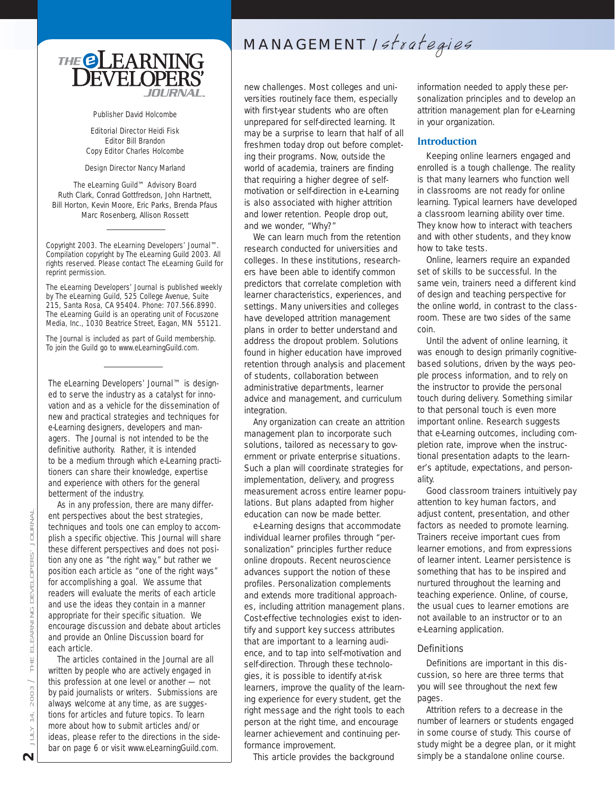

Publisher David Holcombe

Editorial Director Heidi Fisk Editor Bill Brandon Copy Editor Charles Holcombe

Design Director Nancy Marland

The eLearning Guild™ Advisory Board Ruth Clark, Conrad Gottfredson, John Hartnett, Bill Horton, Kevin Moore, Eric Parks, Brenda Pfaus Marc Rosenberg, Allison Rossett

Copyright 2003. The eLearning Developers' Journal™. Compilation copyright by The eLearning Guild 2003. All rights reserved. Please contact *The eLearning Guild* for reprint permission.

The eLearning Developers' Journal is published weekly by *The eLearning Guild*, 525 College Avenue, Suite 215, Santa Rosa, CA 95404. Phone: 707.566.8990. *The eLearning Guild* is an operating unit of Focuszone Media, Inc., 1030 Beatrice Street, Eagan, MN 55121.

The Journal is included as part of *Guild* membership. To join the *Guild* go to www.eLearningGuild.com.

The eLearning Developers' Journal™ is designed to serve the industry as a catalyst for innovation and as a vehicle for the dissemination of new and practical strategies and techniques for e-Learning designers, developers and managers. The Journal is not intended to be the definitive authority. Rather, it is intended to be a medium through which e-Learning practitioners can share their knowledge, expertise and experience with others for the general betterment of the industry.

As in any profession, there are many different perspectives about the best strategies, techniques and tools one can employ to accomplish a specific objective. This Journal will share these different perspectives and does not position any one as "the right way," but rather we position each article as "one of the right ways" for accomplishing a goal. We assume that readers will evaluate the merits of each article and use the ideas they contain in a manner appropriate for their specific situation. We encourage discussion and debate about articles and provide an Online Discussion board for each article.

The articles contained in the **Journal** are all written by people who are actively engaged in this profession at one level or another — not by paid journalists or writers. Submissions are always welcome at any time, as are suggestions for articles and future topics. To learn more about how to submit articles and/or ideas, please refer to the directions in the sidebar on page 6 or visit www.eLearningGuild.com.

## MANAGEMENT Istrategies

new challenges. Most colleges and universities routinely face them, especially with first-year students who are often unprepared for self-directed learning. It may be a surprise to learn that half of all freshmen today drop out before completing their programs. Now, outside the world of academia, trainers are finding that requiring a higher degree of selfmotivation or self-direction in e-Learning is also associated with higher attrition and lower retention. People drop out, and we wonder, "Why?"

We can learn much from the retention research conducted for universities and colleges. In these institutions, researchers have been able to identify common predictors that correlate completion with learner characteristics, experiences, and settings. Many universities and colleges have developed attrition management plans in order to better understand and address the dropout problem. Solutions found in higher education have improved retention through analysis and placement of students, collaboration between administrative departments, learner advice and management, and curriculum integration.

Any organization can create an attrition management plan to incorporate such solutions, tailored as necessary to government or private enterprise situations. Such a plan will coordinate strategies for implementation, delivery, and progress measurement across entire learner populations. But plans adapted from higher education can now be made better.

e-Learning designs that accommodate individual learner profiles through "personalization" principles further reduce online dropouts. Recent neuroscience advances support the notion of these profiles. Personalization complements and extends more traditional approaches, including attrition management plans. Cost-effective technologies exist to identify and support key success attributes that are important to a learning audience, and to tap into self-motivation and self-direction. Through these technologies, it is possible to identify at-risk learners, improve the quality of the learning experience for every student, get the right message and the right tools to each person at the right time, and encourage learner achievement and continuing performance improvement.

This article provides the background

information needed to apply these personalization principles and to develop an attrition management plan for e-Learning in your organization.

### **Introduction**

Keeping online learners engaged and enrolled is a tough challenge. The reality is that many learners who function well in classrooms are not ready for online learning. Typical learners have developed a classroom learning ability over time. They know how to interact with teachers and with other students, and they know how to take tests.

Online, learners require an expanded set of skills to be successful. In the same vein, trainers need a different kind of design and teaching perspective for the online world, in contrast to the classroom. These are two sides of the same coin.

Until the advent of online learning, it was enough to design primarily cognitivebased solutions, driven by the ways people process information, and to rely on the instructor to provide the personal touch during delivery. Something similar to that personal touch is even more important online. Research suggests that e-Learning outcomes, including completion rate, improve when the instructional presentation adapts to the learner's aptitude, expectations, and personality.

Good classroom trainers intuitively pay attention to key human factors, and adjust content, presentation, and other factors as needed to promote learning. Trainers receive important cues from learner emotions, and from expressions of learner intent. Learner persistence is something that has to be inspired and nurtured throughout the learning and teaching experience. Online, of course, the usual cues to learner emotions are not available to an instructor or to an e-Learning application.

### *Definitions*

Definitions are important in this discussion, so here are three terms that you will see throughout the next few pages.

*Attrition* refers to a decrease in the number of learners or students engaged in some course of study. This course of study might be a degree plan, or it might simply be a standalone online course.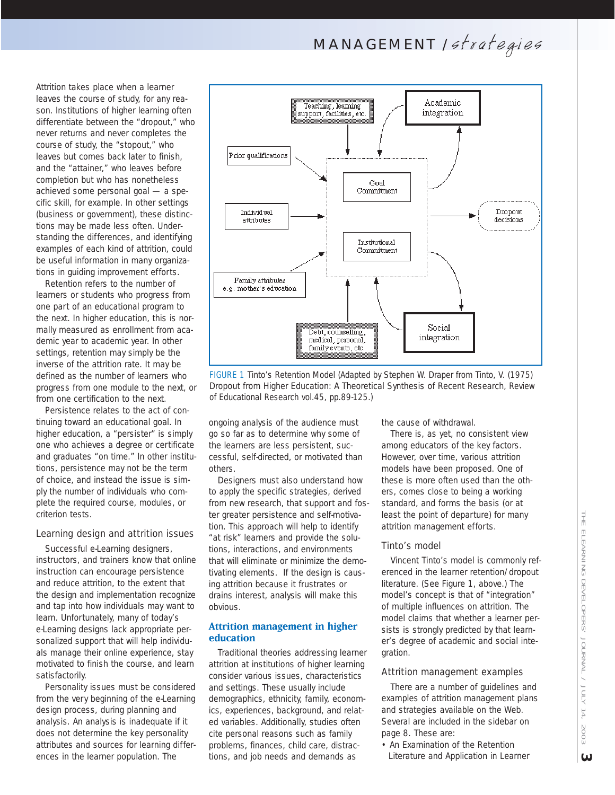MANAGEMENT Istrategies

Attrition takes place when a learner leaves the course of study, for any reason. Institutions of higher learning often differentiate between the "dropout," who never returns and never completes the course of study, the "stopout," who leaves but comes back later to finish, and the "attainer," who leaves before completion but who has nonetheless achieved some personal goal — a specific skill, for example. In other settings (business or government), these distinctions may be made less often. Understanding the differences, and identifying examples of each kind of attrition, could be useful information in many organizations in guiding improvement efforts.

*Retention* refers to the number of learners or students who progress from one part of an educational program to the next. In higher education, this is normally measured as enrollment from academic year to academic year. In other settings, retention may simply be the inverse of the attrition rate. It may be defined as the number of learners who progress from one module to the next, or from one certification to the next.

*Persistence* relates to the act of continuing toward an educational goal. In higher education, a "persister" is simply one who achieves a degree or certificate and graduates "on time." In other institutions, persistence may not be the term of choice, and instead the issue is simply the number of individuals who complete the required course, modules, or criterion tests.

### *Learning design and attrition issues*

Successful e-Learning designers, instructors, and trainers know that online instruction can encourage persistence and reduce attrition, to the extent that the design and implementation recognize and tap into how individuals may want to learn. Unfortunately, many of today's e-Learning designs lack appropriate personalized support that will help individuals manage their online experience, stay motivated to finish the course, and learn satisfactorily.

Personality issues must be considered from the very beginning of the e-Learning design process, during planning and analysis. An analysis is inadequate if it does not determine the key personality attributes and sources for learning differences in the learner population. The



FIGURE 1 *Tinto's Retention Model (Adapted by Stephen W. Draper from Tinto, V. (1975)* Dropout from Higher Education: A Theoretical Synthesis of Recent Research*, Review of Educational Research vol.45, pp.89-125.)*

ongoing analysis of the audience must go so far as to determine why some of the learners are less persistent, successful, self-directed, or motivated than others.

Designers must also understand how to apply the specific strategies, derived from new research, that support and foster greater persistence and self-motivation. This approach will help to identify "at risk" learners and provide the solutions, interactions, and environments that will eliminate or minimize the demotivating elements. If the design is causing attrition because it frustrates or drains interest, analysis will make this obvious.

### **Attrition management in higher education**

Traditional theories addressing learner attrition at institutions of higher learning consider various issues, characteristics and settings. These usually include demographics, ethnicity, family, economics, experiences, background, and related variables. Additionally, studies often cite personal reasons such as family problems, finances, child care, distractions, and job needs and demands as

the cause of withdrawal.

There is, as yet, no consistent view among educators of the key factors. However, over time, various attrition models have been proposed. One of these is more often used than the others, comes close to being a working standard, and forms the basis (or at least the point of departure) for many attrition management efforts.

### *Tinto's model*

Vincent Tinto's model is commonly referenced in the learner retention/dropout literature. (See Figure 1, above.) The model's concept is that of "integration" of multiple influences on attrition. The model claims that whether a learner persists is strongly predicted by that learner's degree of academic and social integration.

### *Attrition management examples*

There are a number of guidelines and examples of attrition management plans and strategies available on the Web. Several are included in the sidebar on page 8. These are:

• An Examination of the Retention Literature and Application in Learner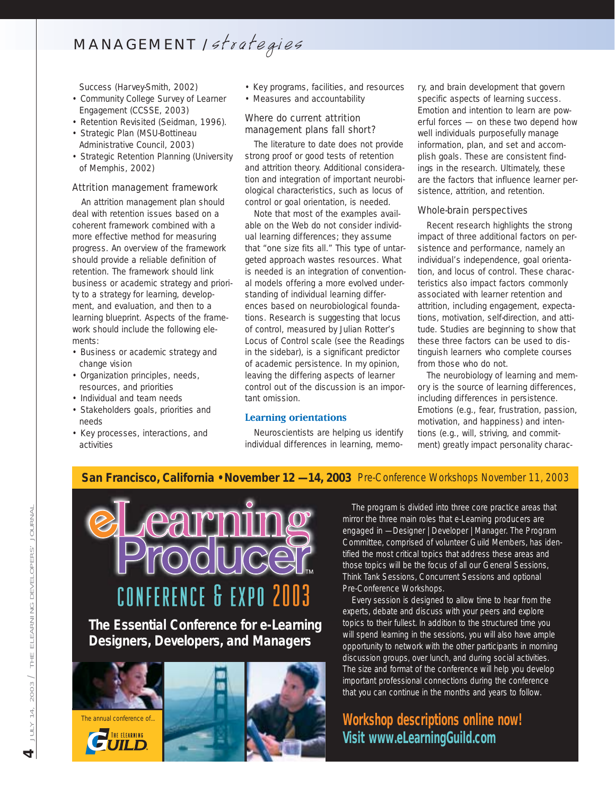## MANAGEMENT Istrategies

Success (Harvey-Smith, 2002)

- Community College Survey of Learner Engagement (CCSSE, 2003)
- Retention Revisited (Seidman, 1996).
- Strategic Plan (MSU-Bottineau Administrative Council, 2003)
- Strategic Retention Planning (University of Memphis, 2002)

### *Attrition management framework*

An attrition management plan should deal with retention issues based on a coherent framework combined with a more effective method for measuring progress. An overview of the framework should provide a reliable definition of retention. The framework should link business or academic strategy and priority to a strategy for learning, development, and evaluation, and then to a learning blueprint. Aspects of the framework should include the following elements:

- Business or academic strategy and change vision
- Organization principles, needs, resources, and priorities
- Individual and team needs
- Stakeholders goals, priorities and needs
- Key processes, interactions, and activities
- Key programs, facilities, and resources
- Measures and accountability

### *Where do current attrition management plans fall short?*

The literature to date does not provide strong proof or good tests of retention and attrition theory. Additional consideration and integration of important neurobiological characteristics, such as locus of control or goal orientation, is needed.

Note that most of the examples available on the Web do not consider individual learning differences; they assume that "one size fits all." This type of untargeted approach wastes resources. What is needed is an integration of conventional models offering a more evolved understanding of individual learning differences based on neurobiological foundations. Research is suggesting that locus of control, measured by Julian Rotter's Locus of Control scale (see the Readings in the sidebar), is a significant predictor of academic persistence. In my opinion, leaving the differing aspects of learner control out of the discussion is an important omission.

### **Learning orientations**

Neuroscientists are helping us identify individual differences in learning, memory, and brain development that govern specific aspects of learning success. Emotion and intention to learn are powerful forces — on these two depend how well individuals purposefully manage information, plan, and set and accomplish goals. These are consistent findings in the research. Ultimately, these are the factors that influence learner persistence, attrition, and retention.

### *Whole-brain perspectives*

Recent research highlights the strong impact of three additional factors on persistence and performance, namely an individual's independence, goal orientation, and locus of control. These characteristics also impact factors commonly associated with learner retention and attrition, including engagement, expectations, motivation, self-direction, and attitude. Studies are beginning to show that these three factors can be used to distinguish learners who complete courses from those who do not.

The neurobiology of learning and memory is the source of learning differences, including differences in persistence. Emotions (e.g., fear, frustration, passion, motivation, and happiness) and intentions (e.g., will, striving, and commitment) greatly impact personality charac-

### **San Francisco, California • November 12 — 14, 2003** Pre-Conference Workshops November 11, 2003



*The Essential Conference for e-Learning Designers, Developers, and Managers*



The program is divided into three core practice areas that mirror the three main roles that e-Learning producers are engaged in — Designer | Developer | Manager. The Program Committee, comprised of volunteer Guild Members, has identified the most critical topics that address these areas and those topics will be the focus of all our General Sessions, Think Tank Sessions, Concurrent Sessions and optional Pre-Conference Workshops.

Every session is designed to allow time to hear from the experts, debate and discuss with your peers and explore topics to their fullest. In addition to the structured time you will spend learning in the sessions, you will also have ample opportunity to network with the other participants in morning discussion groups, over lunch, and during social activities. The size and format of the conference will help you develop important professional connections during the conference that you can continue in the months and years to follow.

## **Workshop descriptions online now! Visit www.eLearningGuild.com**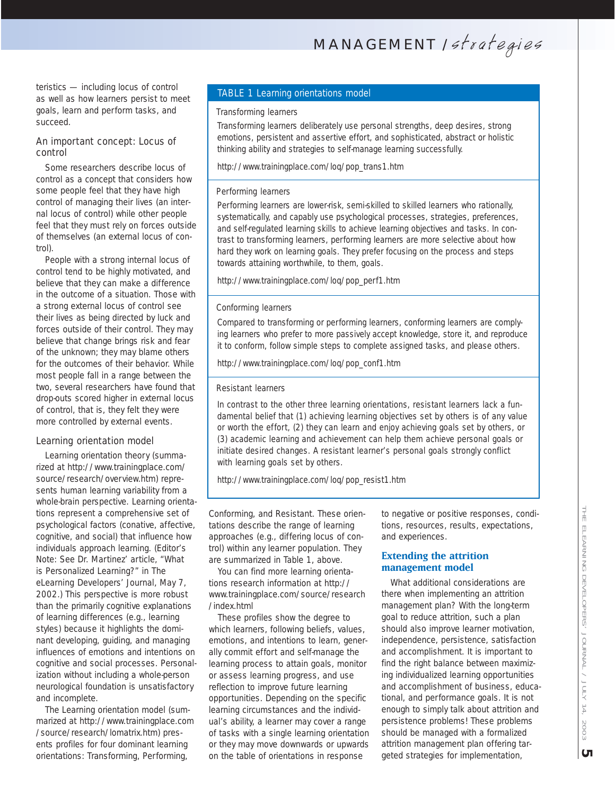teristics — including locus of control as well as how learners persist to meet goals, learn and perform tasks, and succeed.

### *An important concept: Locus of control*

Some researchers describe locus of control as a concept that considers how some people feel that they have high control of managing their lives (an internal locus of control) while other people feel that they must rely on forces outside of themselves (an external locus of control).

People with a strong internal locus of control tend to be highly motivated, and believe that they can make a difference in the outcome of a situation. Those with a strong external locus of control see their lives as being directed by luck and forces outside of their control. They may believe that change brings risk and fear of the unknown; they may blame others for the outcomes of their behavior. While most people fall in a range between the two, several researchers have found that drop-outs scored higher in external locus of control, that is, they felt they were more controlled by external events.

### *Learning orientation model*

Learning orientation theory (summarized at http://www.trainingplace.com/ source/research/overview.htm) represents human learning variability from a whole-brain perspective. Learning orientations represent a comprehensive set of psychological factors (conative, affective, cognitive, and social) that influence how individuals approach learning. (Editor's Note: See Dr. Martinez' article, "What is Personalized Learning?" in The eLearning Developers' Journal, May 7, 2002.) This perspective is more robust than the primarily cognitive explanations of learning differences (e.g., learning styles) because it highlights the dominant developing, guiding, and managing influences of emotions and intentions on cognitive and social processes. Personalization without including a whole-person neurological foundation is unsatisfactory and incomplete.

The Learning orientation model (summarized at http://www.trainingplace.com /source/research/lomatrix.htm) presents profiles for four dominant learning orientations: *Transforming*, *Performing*,

### TABLE 1 *Learning orientations model*

### Transforming learners

Transforming learners deliberately use personal strengths, deep desires, strong emotions, persistent and assertive effort, and sophisticated, abstract or holistic thinking ability and strategies to self-manage learning successfully.

MANAGEMENT Istrategies

*http://www.trainingplace.com/loq/pop\_trans1.htm*

### Performing learners

Performing learners are lower-risk, semi-skilled to skilled learners who rationally, systematically, and capably use psychological processes, strategies, preferences, and self-regulated learning skills to achieve learning objectives and tasks. In contrast to transforming learners, performing learners are more selective about how hard they work on learning goals. They prefer focusing on the process and steps towards attaining worthwhile, to them, goals.

*http://www.trainingplace.com/loq/pop\_perf1.htm*

### Conforming learners

Compared to transforming or performing learners, conforming learners are complying learners who prefer to more passively accept knowledge, store it, and reproduce it to conform, follow simple steps to complete assigned tasks, and please others.

*http://www.trainingplace.com/loq/pop\_conf1.htm*

### Resistant learners

In contrast to the other three learning orientations, resistant learners lack a fundamental belief that (1) achieving learning objectives set by others is of any value or worth the effort, (2) they can learn and enjoy achieving goals set by others, or (3) academic learning and achievement can help them achieve personal goals or initiate desired changes. A resistant learner's personal goals strongly conflict with learning goals set by others.

*http://www.trainingplace.com/loq/pop\_resist1.htm*

*Conforming*, and *Resistant*. These orientations describe the range of learning approaches (e.g., differing locus of control) within any learner population. They are summarized in Table 1, above.

You can find more learning orientations research information at http:// www.trainingplace.com/source/research /index.html

These profiles show the degree to which learners, following beliefs, values, emotions, and intentions to learn, generally commit effort and self-manage the learning process to attain goals, monitor or assess learning progress, and use reflection to improve future learning opportunities. Depending on the specific learning circumstances and the individual's ability, a learner may cover a range of tasks with a single learning orientation or they may move downwards or upwards on the table of orientations in response

to negative or positive responses, conditions, resources, results, expectations, and experiences.

### **Extending the attrition management model**

What additional considerations are there when implementing an attrition management plan? With the long-term goal to reduce attrition, such a plan should also improve learner motivation, independence, persistence, satisfaction and accomplishment. It is important to find the right balance between maximizing individualized learning opportunities and accomplishment of business, educational, and performance goals. It is not enough to simply talk about attrition and persistence problems! These problems should be managed with a formalized attrition management plan offering targeted strategies for implementation,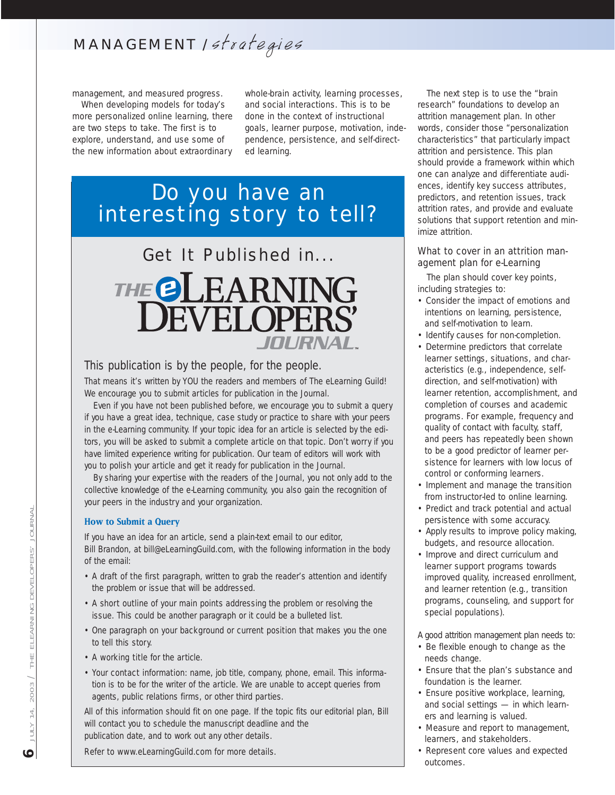MANAGEMENT Istrategies

management, and measured progress.

When developing models for today's more personalized online learning, there are two steps to take. The first is to explore, understand, and use some of the new information about extraordinary

whole-brain activity, learning processes, and social interactions. This is to be done in the context of instructional goals, learner purpose, motivation, independence, persistence, and self-directed learning.

## Do you have an interesting story to tell?

# *Get It Published in...* THE OLEARNING

### This publication is by the people, for the people.

That means it's written by YOU the readers and members of *The eLearning Guild*! We encourage you to submit articles for publication in the Journal.

Even if you have not been published before, we encourage you to submit a query if you have a great idea, technique, case study or practice to share with your peers in the e-Learning community. If your topic idea for an article is selected by the editors, you will be asked to submit a complete article on that topic. Don't worry if you have limited experience writing for publication. Our team of editors will work with you to polish your article and get it ready for publication in the Journal.

By sharing your expertise with the readers of the Journal, you not only add to the collective knowledge of the e-Learning community, you also gain the recognition of your peers in the industry and your organization.

### **How to Submit a Query**

If you have an idea for an article, send a plain-text email to our editor, Bill Brandon, at bill@eLearningGuild.com, with the following information in the body of the email:

- A draft of the first paragraph, written to grab the reader's attention and identify the problem or issue that will be addressed.
- A short outline of your main points addressing the problem or resolving the issue. This could be another paragraph or it could be a bulleted list.
- One paragraph on your background or current position that makes you the one to tell this story.
- A working title for the article.
- Your contact information: name, job title, company, phone, email. This information is to be for the writer of the article. We are unable to accept queries from agents, public relations firms, or other third parties.

All of this information should fit on one page. If the topic fits our editorial plan, Bill will contact you to schedule the manuscript deadline and the publication date, and to work out any other details.

Refer to www.eLearningGuild.com for more details.

The next step is to use the "brain research" foundations to develop an attrition management plan. In other words, consider those "personalization characteristics" that particularly impact attrition and persistence. This plan should provide a framework within which one can analyze and differentiate audiences, identify key success attributes, predictors, and retention issues, track attrition rates, and provide and evaluate solutions that support retention and minimize attrition.

### *What to cover in an attrition management plan for e-Learning*

The plan should cover key points, including strategies to:

- Consider the impact of emotions and intentions on learning, persistence, and self-motivation to learn.
- Identify causes for non-completion.
- Determine predictors that correlate learner settings, situations, and characteristics (e.g., independence, selfdirection, and self-motivation) with learner retention, accomplishment, and completion of courses and academic programs. For example, frequency and quality of contact with faculty, staff, and peers has repeatedly been shown to be a good predictor of learner persistence for learners with low locus of control or conforming learners.
- Implement and manage the transition from instructor-led to online learning.
- Predict and track potential and actual persistence with some accuracy.
- Apply results to improve policy making, budgets, and resource allocation.
- Improve and direct curriculum and learner support programs towards improved quality, increased enrollment, and learner retention (e.g., transition programs, counseling, and support for special populations).

A good attrition management plan needs to:

- Be flexible enough to change as the needs change.
- Ensure that the plan's substance and foundation is the learner.
- Ensure positive workplace, learning, and social settings — in which learners and learning is valued.
- Measure and report to management, learners, and stakeholders.
- Represent core values and expected outcomes.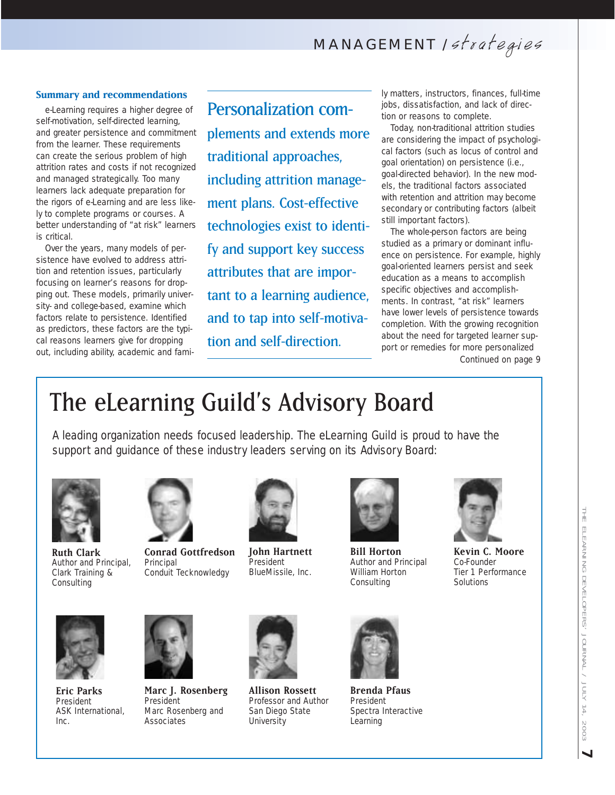## MANAGEMENT Istrategies

### **Summary and recommendations**

e-Learning requires a higher degree of self-motivation, self-directed learning, and greater persistence and commitment from the learner. These requirements can create the serious problem of high attrition rates and costs if not recognized and managed strategically. Too many learners lack adequate preparation for the rigors of e-Learning and are less likely to complete programs or courses. A better understanding of "at risk" learners is critical.

Over the years, many models of persistence have evolved to address attrition and retention issues, particularly focusing on learner's reasons for dropping out. These models, primarily university- and college-based, examine which factors relate to persistence. Identified as predictors, these factors are the typical reasons learners give for dropping out, including ability, academic and fami-

Personalization complements and extends more traditional approaches, including attrition management plans. Cost-effective technologies exist to identify and support key success attributes that are important to a learning audience, and to tap into self-motivation and self-direction.

ly matters, instructors, finances, full-time jobs, dissatisfaction, and lack of direction or reasons to complete.

Today, non-traditional attrition studies are considering the impact of psychological factors (such as locus of control and goal orientation) on persistence (i.e., goal-directed behavior). In the new models, the traditional factors associated with retention and attrition may become secondary or contributing factors (albeit still important factors).

The whole-person factors are being studied as a primary or dominant influence on persistence. For example, highly goal-oriented learners persist and seek education as a means to accomplish specific objectives and accomplishments. In contrast, "at risk" learners have lower levels of persistence towards completion. With the growing recognition about the need for targeted learner support or remedies for more personalized *Continued on page 9*

# The eLearning Guild's Advisory Board

A leading organization needs focused leadership. *The eLearning Guild* is proud to have the support and guidance of these industry leaders serving on its Advisory Board:







**Conrad Gottfredson** Principal Conduit Tecknowledgy



**John Hartnett** President BlueMissile, Inc.



**Bill Horton** Author and Principal William Horton Consulting



**Kevin C. Moore** Co-Founder Tier 1 Performance **Solutions** 



**Eric Parks** President ASK International, Inc.



**Marc J. Rosenberg** President Marc Rosenberg and **Associates** 



**Allison Rossett** Professor and Author San Diego State **University** 



**Brenda Pfaus** President Spectra Interactive Learning

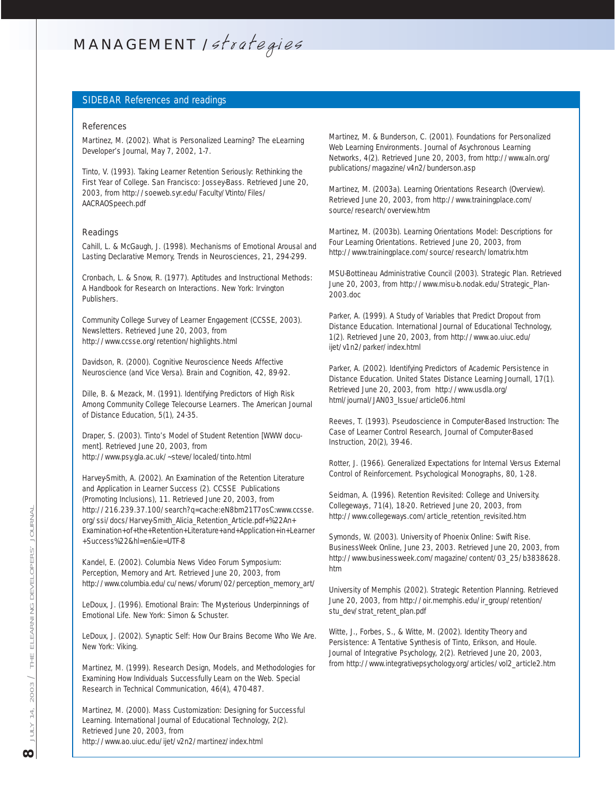MANAGEMENT Istrategies

### SIDEBAR *References and readings*

#### *References*

Martinez, M. (2002). What is Personalized Learning? *The eLearning Developer's Journal*, May 7, 2002, 1-7.

Tinto, V. (1993). *Taking Learner Retention Seriously: Rethinking the First Year of College*. San Francisco: Jossey-Bass. Retrieved June 20, 2003, from http://soeweb.syr.edu/Faculty/Vtinto/Files/ AACRAOSpeech.pdf

### *Readings*

Cahill, L. & McGaugh, J. (1998). Mechanisms of Emotional Arousal and Lasting Declarative Memory, *Trends in Neurosciences*, 21, 294-299.

Cronbach, L. & Snow, R. (1977). *Aptitudes and Instructional Methods: A Handbook for Research on Interactions*. New York: Irvington Publishers.

*Community College Survey of Learner Engagement (CCSSE, 2003). Newsletters*. Retrieved June 20, 2003, from http://www.ccsse.org/retention/highlights.html

Davidson, R. (2000). Cognitive Neuroscience Needs Affective Neuroscience (and Vice Versa). *Brain and Cognition*, 42, 89-92.

Dille, B. & Mezack, M. (1991). Identifying Predictors of High Risk Among Community College Telecourse Learners. *The American Journal of Distance Education*, 5(1), 24-35.

Draper, S. (2003). Tinto's Model of Student Retention [WWW document]. Retrieved June 20, 2003, from http://www.psy.gla.ac.uk/~steve/localed/tinto.html

Harvey-Smith, A. (2002). An Examination of the Retention Literature and Application in Learner Success (2). *CCSSE Publications (Promoting Inclusions)*, 11. Retrieved June 20, 2003, from http://216.239.37.100/search?q=cache:eN8bm21T7osC:www.ccsse. org/ssi/docs/Harvey-Smith\_Alicia\_Retention\_Article.pdf+%22An+ Examination+of+the+Retention+Literature+and+Application+in+Learner +Success%22&hl=en&ie=UTF-8

Kandel, E. (2002). *Columbia News Video Forum Symposium: Perception, Memory and Art*. Retrieved June 20, 2003, from http://www.columbia.edu/cu/news/vforum/02/perception\_memory\_art/

LeDoux, J. (1996). *Emotional Brain: The Mysterious Underpinnings of Emotional Life*. New York: Simon & Schuster.

LeDoux, J. (2002). *Synaptic Self: How Our Brains Become Who We Are*. New York: Viking.

Martinez, M. (1999). Research Design, Models, and Methodologies for Examining How Individuals Successfully Learn on the Web. *Special Research in Technical Communication*, 46(4), 470-487.

Martinez, M. (2000). Mass Customization: Designing for Successful Learning. *International Journal of Educational Technology*, 2(2). Retrieved June 20, 2003, from http://www.ao.uiuc.edu/ijet/v2n2/martinez/index.html

Martinez, M. & Bunderson, C. (2001). Foundations for Personalized Web Learning Environments. *Journal of Asychronous Learning Networks*, 4(2). Retrieved June 20, 2003, from http://www.aln.org/ publications/magazine/v4n2/bunderson.asp

Martinez, M. (2003a). *Learning Orientations Research (Overview*). Retrieved June 20, 2003, from http://www.trainingplace.com/ source/research/overview.htm

Martinez, M. (2003b). *Learning Orientations Model: Descriptions for Four Learning Orientations*. Retrieved June 20, 2003, from http://www.trainingplace.com/source/research/lomatrix.htm

MSU-Bottineau Administrative Council (2003). *Strategic Plan*. Retrieved June 20, 2003, from http://www.misu-b.nodak.edu/Strategic\_Plan-2003.doc

Parker, A. (1999). A Study of Variables that Predict Dropout from Distance Education. *International Journal of Educational Technology*, 1(2). Retrieved June 20, 2003, from http://www.ao.uiuc.edu/ ijet/v1n2/parker/index.html

Parker, A. (2002). Identifying Predictors of Academic Persistence in Distance Education. *United States Distance Learning Journal*l, 17(1). Retrieved June 20, 2003, from http://www.usdla.org/ html/journal/JAN03\_Issue/article06.html

Reeves, T. (1993). Pseudoscience in Computer-Based Instruction: The Case of Learner Control Research, *Journal of Computer-Based Instruction*, 20(2), 39-46.

Rotter, J. (1966). Generalized Expectations for Internal Versus External Control of Reinforcement. *Psychological Monographs*, 80, 1-28.

Seidman, A. (1996). Retention Revisited: College and University. *Collegeways*, 71(4), 18-20. Retrieved June 20, 2003, from http://www.collegeways.com/article\_retention\_revisited.htm

Symonds, W. (2003). University of Phoenix Online: Swift Rise. *BusinessWeek Online*, June 23, 2003. Retrieved June 20, 2003, from http://www.businessweek.com/magazine/content/03\_25/b3838628. htm

University of Memphis (2002). *Strategic Retention Planning*. Retrieved June 20, 2003, from http://oir.memphis.edu/ir\_group/retention/ stu\_dev/strat\_retent\_plan.pdf

Witte, J., Forbes, S., & Witte, M. (2002). Identity Theory and Persistence: A Tentative Synthesis of Tinto, Erikson, and Houle. *Journal of Integrative Psychology*, 2(2). Retrieved June 20, 2003, from http://www.integrativepsychology.org/articles/vol2\_article2.htm